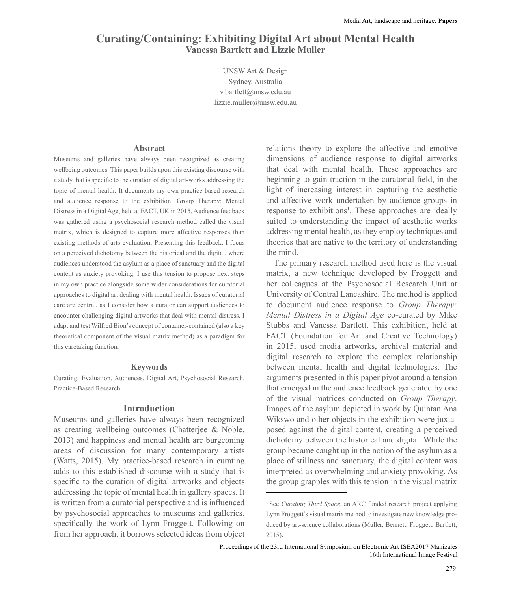# **Curating/Containing: Exhibiting Digital Art about Mental Health Vanessa Bartlett and Lizzie Muller**

UNSW Art & Design Sydney, Australia v.bartlett@unsw.edu.au lizzie.muller@unsw.edu.au

### **Abstract**

Museums and galleries have always been recognized as creating wellbeing outcomes. This paper builds upon this existing discourse with a study that is specifc to the curation of digital art-works addressing the topic of mental health. It documents my own practice based research and audience response to the exhibition: Group Therapy: Mental Distress in a Digital Age, held at FACT, UK in 2015. Audience feedback was gathered using a psychosocial research method called the visual matrix, which is designed to capture more affective responses than existing methods of arts evaluation. Presenting this feedback, I focus on a perceived dichotomy between the historical and the digital, where audiences understood the asylum as a place of sanctuary and the digital content as anxiety provoking. I use this tension to propose next steps in my own practice alongside some wider considerations for curatorial approaches to digital art dealing with mental health. Issues of curatorial care are central, as I consider how a curator can support audiences to encounter challenging digital artworks that deal with mental distress. I adapt and test Wilfred Bion's concept of container-contained (also a key theoretical component of the visual matrix method as a paradigm for this caretaking function.

#### **Keywords**

Curating, Evaluation, Audiences, Digital Art, Psychosocial Research, Practice-Based Research.

### **Introduction**

Museums and galleries have always been recognized as creating wellbeing outcomes (Chatterjee  $\&$  Noble, 2013 and happiness and mental health are burgeoning areas of discussion for many contemporary artists (Watts, 2015. My practice-based research in curating adds to this established discourse with a study that is specifc to the curation of digital artworks and objects addressing the topic of mental health in gallery spaces. It is written from a curatorial perspective and is infuenced by psychosocial approaches to museums and galleries, specifcally the work of Lynn Froggett. Following on from her approach, it borrows selected ideas from object

relations theory to explore the affective and emotive dimensions of audience response to digital artworks that deal with mental health. These approaches are beginning to gain traction in the curatorial feld, in the light of increasing interest in capturing the aesthetic and affective work undertaken by audience groups in response to exhibitions<sup>1</sup>. These approaches are ideally suited to understanding the impact of aesthetic works addressing mental health, as they employ techniques and theories that are native to the territory of understanding the mind.

The primary research method used here is the visual matrix, a new technique developed by Froggett and her colleagues at the Psychosocial Research Unit at University of Central Lancashire. The method is applied to document audience response to *Group Therapy: Mental Distress in a Digital Age* co-curated by Mike Stubbs and Vanessa Bartlett. This exhibition, held at FACT (Foundation for Art and Creative Technology) in 2015, used media artworks, archival material and digital research to explore the complex relationship between mental health and digital technologies. The arguments presented in this paper pivot around a tension that emerged in the audience feedback generated by one of the visual matrices conducted on *Group Therapy*. Images of the asylum depicted in work by Quintan Ana Wikswo and other objects in the exhibition were juxtaposed against the digital content, creating a perceived dichotomy between the historical and digital. While the group became caught up in the notion of the asylum as a place of stillness and sanctuary, the digital content was interpreted as overwhelming and anxiety provoking. As the group grapples with this tension in the visual matrix

<sup>&</sup>lt;sup>1</sup> See *Curating Third Space*, an ARC funded research project applying Lynn Froggett's visual matrix method to investigate new knowledge produced by art-science collaborations (Muller, Bennett, Froggett, Bartlett, 2015**.**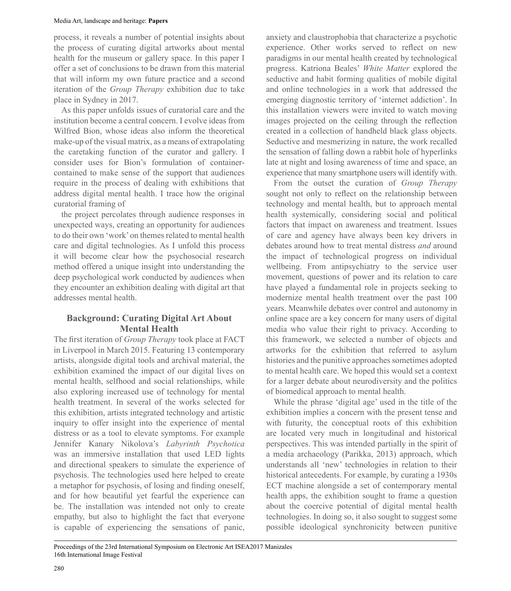process, it reveals a number of potential insights about the process of curating digital artworks about mental health for the museum or gallery space. In this paper I offer a set of conclusions to be drawn from this material that will inform my own future practice and a second iteration of the *Group Therapy* exhibition due to take place in Sydney in 2017.

As this paper unfolds issues of curatorial care and the institution become a central concern. I evolve ideas from Wilfred Bion, whose ideas also inform the theoretical make-up of the visual matrix, as a means of extrapolating the caretaking function of the curator and gallery. I consider uses for Bion's formulation of containercontained to make sense of the support that audiences require in the process of dealing with exhibitions that address digital mental health. I trace how the original curatorial framing of

the project percolates through audience responses in unexpected ways, creating an opportunity for audiences to do their own 'work' on themes related to mental health care and digital technologies. As I unfold this process it will become clear how the psychosocial research method offered a unique insight into understanding the deep psychological work conducted by audiences when they encounter an exhibition dealing with digital art that addresses mental health.

## **Background: Curating Digital Art About Mental Health**

The frst iteration of *Group Therapy* took place at FACT in Liverpool in March 2015. Featuring 13 contemporary artists, alongside digital tools and archival material, the exhibition examined the impact of our digital lives on mental health, selfhood and social relationships, while also exploring increased use of technology for mental health treatment. In several of the works selected for this exhibition, artists integrated technology and artistic inquiry to offer insight into the experience of mental distress or as a tool to elevate symptoms. For example Jennifer Kanary Nikolova's *Labyrinth Psychotica* was an immersive installation that used LED lights and directional speakers to simulate the experience of psychosis. The technologies used here helped to create a metaphor for psychosis, of losing and fnding oneself, and for how beautiful yet fearful the experience can be. The installation was intended not only to create empathy, but also to highlight the fact that everyone is capable of experiencing the sensations of panic,

anxiety and claustrophobia that characterize a psychotic experience. Other works served to refect on new paradigms in our mental health created by technological progress. Katriona Beales' *White Matter* explored the seductive and habit forming qualities of mobile digital and online technologies in a work that addressed the emerging diagnostic territory of 'internet addiction'. In this installation viewers were invited to watch moving images projected on the ceiling through the refection created in a collection of handheld black glass objects. Seductive and mesmerizing in nature, the work recalled the sensation of falling down a rabbit hole of hyperlinks late at night and losing awareness of time and space, an experience that many smartphone users will identify with.

From the outset the curation of *Group Therapy* sought not only to refect on the relationship between technology and mental health, but to approach mental health systemically, considering social and political factors that impact on awareness and treatment. Issues of care and agency have always been key drivers in debates around how to treat mental distress *and* around the impact of technological progress on individual wellbeing. From antipsychiatry to the service user movement, questions of power and its relation to care have played a fundamental role in projects seeking to modernize mental health treatment over the past 100 years. Meanwhile debates over control and autonomy in online space are a key concern for many users of digital media who value their right to privacy. According to this framework, we selected a number of objects and artworks for the exhibition that referred to asylum histories and the punitive approaches sometimes adopted to mental health care. We hoped this would set a context for a larger debate about neurodiversity and the politics of biomedical approach to mental health.

While the phrase 'digital age' used in the title of the exhibition implies a concern with the present tense and with futurity, the conceptual roots of this exhibition are located very much in longitudinal and historical perspectives. This was intended partially in the spirit of a media archaeology (Parikka, 2013 approach, which understands all 'new' technologies in relation to their historical antecedents. For example, by curating a 1930s ECT machine alongside a set of contemporary mental health apps, the exhibition sought to frame a question about the coercive potential of digital mental health technologies. In doing so, it also sought to suggest some possible ideological synchronicity between punitive

Proceedings of the 23rd International Symposium on Electronic Art ISEA2017 Manizales 16th International Image Festival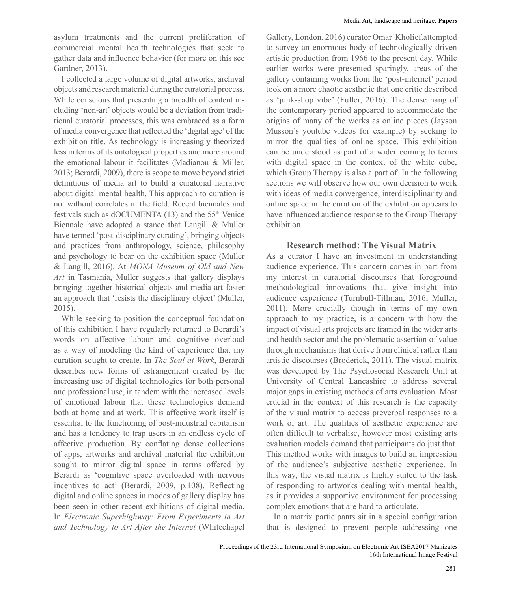asylum treatments and the current proliferation of commercial mental health technologies that seek to gather data and infuence behavior (for more on this see Gardner, 2013.

I collected a large volume of digital artworks, archival objects and research material during the curatorial process. While conscious that presenting a breadth of content including 'non-art' objects would be a deviation from traditional curatorial processes, this was embraced as a form of media convergence that reflected the 'digital age' of the exhibition title. As technology is increasingly theorized less in terms of its ontological properties and more around the emotional labour it facilitates (Madianou  $\&$  Miller 2013; Berardi, 2009, there is scope to move beyond strict defnitions of media art to build a curatorial narrative about digital mental health. This approach to curation is not without correlates in the feld. Recent biennales and festivals such as dOCUMENTA  $(13)$  and the 55<sup>th</sup> Venice Biennale have adopted a stance that Langill  $&$  Muller have termed 'post-disciplinary curating', bringing objects and practices from anthropology, science, philosophy and psychology to bear on the exhibition space (Muller Langill, 2016. At *MONA Museum of Old and New Art* in Tasmania, Muller suggests that gallery displays bringing together historical objects and media art foster an approach that 'resists the disciplinary object' (Muller, 2015.

While seeking to position the conceptual foundation of this exhibition I have regularly returned to Berardi's words on affective labour and cognitive overload as a way of modeling the kind of experience that my curation sought to create. In *The Soul at Work*, Berardi describes new forms of estrangement created by the increasing use of digital technologies for both personal and professional use, in tandem with the increased levels of emotional labour that these technologies demand both at home and at work. This affective work itself is essential to the functioning of post-industrial capitalism and has a tendency to trap users in an endless cycle of affective production. By confating dense collections of apps, artworks and archival material the exhibition sought to mirror digital space in terms offered by Berardi as 'cognitive space overloaded with nervous incentives to act' (Berardi, 2009, p.108). Reflecting digital and online spaces in modes of gallery display has been seen in other recent exhibitions of digital media. In *Electronic Superhighway: From Experiments in Art and Technology to Art After the Internet* (Whitechapel

Gallery, London, 2016) curator Omar Kholief.attempted to survey an enormous body of technologically driven artistic production from 1966 to the present day. While earlier works were presented sparingly, areas of the gallery containing works from the 'post-internet' period took on a more chaotic aesthetic that one critic described as 'junk-shop vibe' (Fuller, 2016). The dense hang of the contemporary period appeared to accommodate the origins of many of the works as online pieces (Jayson Musson's youtube videos for example) by seeking to mirror the qualities of online space. This exhibition can be understood as part of a wider coming to terms with digital space in the context of the white cube, which Group Therapy is also a part of. In the following sections we will observe how our own decision to work with ideas of media convergence, interdisciplinarity and online space in the curation of the exhibition appears to have infuenced audience response to the Group Therapy exhibition.

## **Research method: The Visual Matrix**

As a curator I have an investment in understanding audience experience. This concern comes in part from my interest in curatorial discourses that foreground methodological innovations that give insight into audience experience (Turnbull-Tillman, 2016; Muller, 2011. More crucially though in terms of my own approach to my practice, is a concern with how the impact of visual arts projects are framed in the wider arts and health sector and the problematic assertion of value through mechanisms that derive from clinical rather than artistic discourses (Broderick, 2011. The visual matrix was developed by The Psychosocial Research Unit at University of Central Lancashire to address several major gaps in existing methods of arts evaluation. Most crucial in the context of this research is the capacity of the visual matrix to access preverbal responses to a work of art. The qualities of aesthetic experience are often diffcult to verbalise, however most existing arts evaluation models demand that participants do just that. This method works with images to build an impression of the audience's subjective aesthetic experience. In this way, the visual matrix is highly suited to the task of responding to artworks dealing with mental health, as it provides a supportive environment for processing complex emotions that are hard to articulate.

In a matrix participants sit in a special confguration that is designed to prevent people addressing one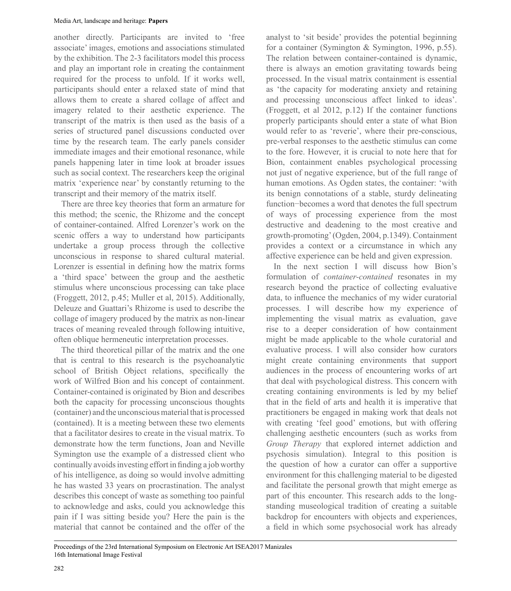another directly. Participants are invited to 'free associate' images, emotions and associations stimulated by the exhibition. The 2-3 facilitators model this process and play an important role in creating the containment required for the process to unfold. If it works well, participants should enter a relaxed state of mind that allows them to create a shared collage of affect and imagery related to their aesthetic experience. The transcript of the matrix is then used as the basis of a series of structured panel discussions conducted over time by the research team. The early panels consider immediate images and their emotional resonance, while panels happening later in time look at broader issues such as social context. The researchers keep the original matrix 'experience near' by constantly returning to the transcript and their memory of the matrix itself.

There are three key theories that form an armature for this method; the scenic, the Rhizome and the concept of container-contained. Alfred Lorenzer's work on the scenic offers a way to understand how participants undertake a group process through the collective unconscious in response to shared cultural material. Lorenzer is essential in defning how the matrix forms a 'third space' between the group and the aesthetic stimulus where unconscious processing can take place (Froggett, 2012, p.45; Muller et al, 2015. Additionally, Deleuze and Guattari's Rhizome is used to describe the collage of imagery produced by the matrix as non-linear traces of meaning revealed through following intuitive, often oblique hermeneutic interpretation processes.

The third theoretical pillar of the matrix and the one that is central to this research is the psychoanalytic school of British Object relations, specifcally the work of Wilfred Bion and his concept of containment. Container-contained is originated by Bion and describes both the capacity for processing unconscious thoughts (container) and the unconscious material that is processed (contained. It is a meeting between these two elements that a facilitator desires to create in the visual matrix. To demonstrate how the term functions, Joan and Neville Symington use the example of a distressed client who continually avoids investing effort in fnding a job worthy of his intelligence, as doing so would involve admitting he has wasted 33 years on procrastination. The analyst describes this concept of waste as something too painful to acknowledge and asks, could you acknowledge this pain if I was sitting beside you? Here the pain is the material that cannot be contained and the offer of the

analyst to 'sit beside' provides the potential beginning for a container (Symington  $&$  Symington, 1996, p.55). The relation between container-contained is dynamic, there is always an emotion gravitating towards being processed. In the visual matrix containment is essential as 'the capacity for moderating anxiety and retaining and processing unconscious affect linked to ideas'. (Froggett, et al 2012, p.12 If the container functions properly participants should enter a state of what Bion would refer to as 'reverie', where their pre-conscious, pre-verbal responses to the aesthetic stimulus can come to the fore. However, it is crucial to note here that for Bion, containment enables psychological processing not just of negative experience, but of the full range of human emotions. As Ogden states, the container: 'with its benign connotations of a stable, sturdy delineating function-becomes a word that denotes the full spectrum of ways of processing experience from the most destructive and deadening to the most creative and growth-promoting' (Ogden, 2004, p.1349. Containment provides a context or a circumstance in which any affective experience can be held and given expression.

In the next section I will discuss how Bion's formulation of *container-contained* resonates in my research beyond the practice of collecting evaluative data, to infuence the mechanics of my wider curatorial processes. I will describe how my experience of implementing the visual matrix as evaluation, gave rise to a deeper consideration of how containment might be made applicable to the whole curatorial and evaluative process. I will also consider how curators might create containing environments that support audiences in the process of encountering works of art that deal with psychological distress. This concern with creating containing environments is led by my belief that in the feld of arts and health it is imperative that practitioners be engaged in making work that deals not with creating 'feel good' emotions, but with offering challenging aesthetic encounters (such as works from *Group Therapy* that explored internet addiction and psychosis simulation. Integral to this position is the question of how a curator can offer a supportive environment for this challenging material to be digested and facilitate the personal growth that might emerge as part of this encounter. This research adds to the longstanding museological tradition of creating a suitable backdrop for encounters with objects and experiences, a feld in which some psychosocial work has already

Proceedings of the 23rd International Symposium on Electronic Art ISEA2017 Manizales 16th International Image Festival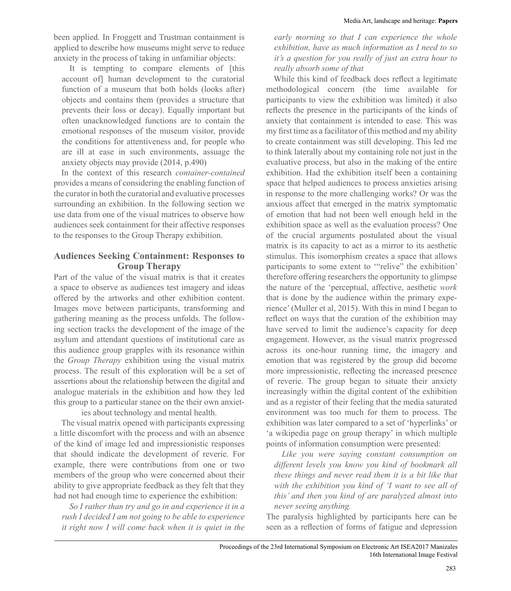been applied. In Froggett and Trustman containment is applied to describe how museums might serve to reduce anxiety in the process of taking in unfamiliar objects:

It is tempting to compare elements of [this account of] human development to the curatorial function of a museum that both holds (looks after objects and contains them (provides a structure that prevents their loss or decay. Equally important but often unacknowledged functions are to contain the emotional responses of the museum visitor, provide the conditions for attentiveness and, for people who are ill at ease in such environments, assuage the anxiety objects may provide (2014, p.490

In the context of this research *container-contained* provides a means of considering the enabling function of the curator in both the curatorial and evaluative processes surrounding an exhibition. In the following section we use data from one of the visual matrices to observe how audiences seek containment for their affective responses to the responses to the Group Therapy exhibition.

## **Audiences Seeking Containment: Responses to Group Therapy**

Part of the value of the visual matrix is that it creates a space to observe as audiences test imagery and ideas offered by the artworks and other exhibition content. Images move between participants, transforming and gathering meaning as the process unfolds. The following section tracks the development of the image of the asylum and attendant questions of institutional care as this audience group grapples with its resonance within the *Group Therapy* exhibition using the visual matrix process. The result of this exploration will be a set of assertions about the relationship between the digital and analogue materials in the exhibition and how they led this group to a particular stance on the their own anxiet-

ies about technology and mental health.

The visual matrix opened with participants expressing a little discomfort with the process and with an absence of the kind of image led and impressionistic responses that should indicate the development of reverie. For example, there were contributions from one or two members of the group who were concerned about their ability to give appropriate feedback as they felt that they had not had enough time to experience the exhibition:

*So I rather than try and go in and experience it in a rush I decided I am not going to be able to experience it right now I will come back when it is quiet in the* 

*early morning so that I can experience the whole exhibition, have as much information as I need to so it's a question for you really of just an extra hour to really absorb some of that*

While this kind of feedback does refect a legitimate methodological concern (the time available for participants to view the exhibition was limited it also refects the presence in the participants of the kinds of anxiety that containment is intended to ease. This was my frst time as a facilitator of this method and my ability to create containment was still developing. This led me to think laterally about my containing role not just in the evaluative process, but also in the making of the entire exhibition. Had the exhibition itself been a containing space that helped audiences to process anxieties arising in response to the more challenging works? Or was the anxious affect that emerged in the matrix symptomatic of emotion that had not been well enough held in the exhibition space as well as the evaluation process? One of the crucial arguments postulated about the visual matrix is its capacity to act as a mirror to its aesthetic stimulus. This isomorphism creates a space that allows participants to some extent to "relive" the exhibition' therefore offering researchers the opportunity to glimpse the nature of the 'perceptual, affective, aesthetic *work* that is done by the audience within the primary experience' (Muller et al, 2015. With this in mind I began to refect on ways that the curation of the exhibition may have served to limit the audience's capacity for deep engagement. However, as the visual matrix progressed across its one-hour running time, the imagery and emotion that was registered by the group did become more impressionistic, refecting the increased presence of reverie. The group began to situate their anxiety increasingly within the digital content of the exhibition and as a register of their feeling that the media saturated environment was too much for them to process. The exhibition was later compared to a set of 'hyperlinks' or µa wikipedia page on group therapy' in which multiple points of information consumption were presented:

*Like you were saying constant consumption on different levels you know you kind of bookmark all these things and never read them it is a bit like that with the exhibition you kind of 'I want to see all of this' and then you kind of are paralyzed almost into never seeing anything.*

The paralysis highlighted by participants here can be seen as a refection of forms of fatigue and depression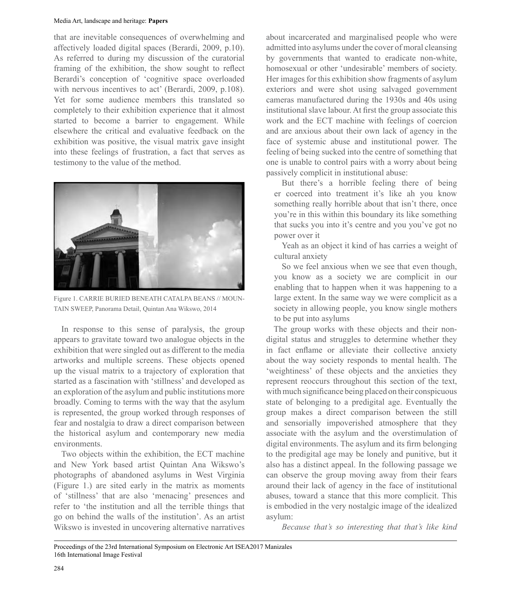that are inevitable consequences of overwhelming and affectively loaded digital spaces (Berardi, 2009, p.10. As referred to during my discussion of the curatorial framing of the exhibition, the show sought to refect Berardi's conception of 'cognitive space overloaded with nervous incentives to act' (Berardi, 2009, p.108). Yet for some audience members this translated so completely to their exhibition experience that it almost started to become a barrier to engagement. While elsewhere the critical and evaluative feedback on the exhibition was positive, the visual matrix gave insight into these feelings of frustration, a fact that serves as testimony to the value of the method.



Figure 1. CARRIE BURIED BENEATH CATALPA BEANS // MOUN-TAIN SWEEP, Panorama Detail, Quintan Ana Wikswo, 2014

In response to this sense of paralysis, the group appears to gravitate toward two analogue objects in the exhibition that were singled out as different to the media artworks and multiple screens. These objects opened up the visual matrix to a trajectory of exploration that started as a fascination with 'stillness' and developed as an exploration of the asylum and public institutions more broadly. Coming to terms with the way that the asylum is represented, the group worked through responses of fear and nostalgia to draw a direct comparison between the historical asylum and contemporary new media environments.

Two objects within the exhibition, the ECT machine and New York based artist Quintan Ana Wikswo's photographs of abandoned asylums in West Virginia  $(Figure 1.)$  are sited early in the matrix as moments of 'stillness' that are also 'menacing' presences and refer to 'the institution and all the terrible things that go on behind the walls of the institution'. As an artist Wikswo is invested in uncovering alternative narratives

about incarcerated and marginalised people who were admitted into asylums under the cover of moral cleansing by governments that wanted to eradicate non-white, homosexual or other 'undesirable' members of society. Her images for this exhibition show fragments of asylum exteriors and were shot using salvaged government cameras manufactured during the 1930s and 40s using institutional slave labour. At frst the group associate this work and the ECT machine with feelings of coercion and are anxious about their own lack of agency in the face of systemic abuse and institutional power. The feeling of being sucked into the centre of something that one is unable to control pairs with a worry about being passively complicit in institutional abuse:

But there's a horrible feeling there of being er coerced into treatment it's like ah you know something really horrible about that isn't there, once you're in this within this boundary its like something that sucks you into it's centre and you you've got no power over it

Yeah as an object it kind of has carries a weight of cultural anxiety

So we feel anxious when we see that even though, you know as a society we are complicit in our enabling that to happen when it was happening to a large extent. In the same way we were complicit as a society in allowing people, you know single mothers to be put into asylums

The group works with these objects and their nondigital status and struggles to determine whether they in fact enfame or alleviate their collective anxiety about the way society responds to mental health. The 'weightiness' of these objects and the anxieties they represent reoccurs throughout this section of the text, with much significance being placed on their conspicuous state of belonging to a predigital age. Eventually the group makes a direct comparison between the still and sensorially impoverished atmosphere that they associate with the asylum and the overstimulation of digital environments. The asylum and its frm belonging to the predigital age may be lonely and punitive, but it also has a distinct appeal. In the following passage we can observe the group moving away from their fears around their lack of agency in the face of institutional abuses, toward a stance that this more complicit. This is embodied in the very nostalgic image of the idealized asylum:

*Because that's so interesting that that's like kind*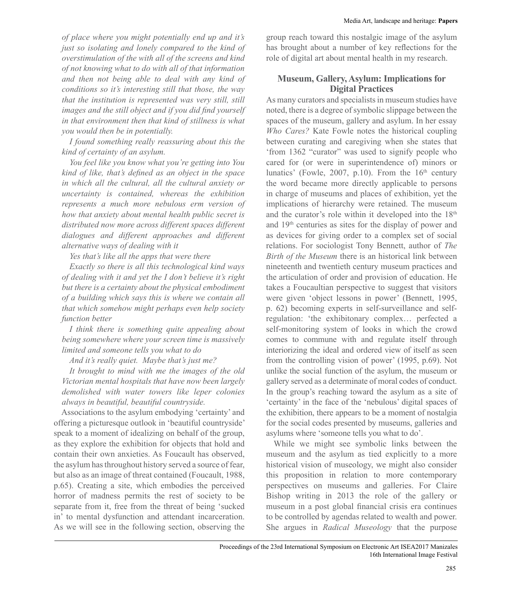*of place where you might potentially end up and it's just so isolating and lonely compared to the kind of overstimulation of the with all of the screens and kind of not knowing what to do with all of that information and then not being able to deal with any kind of conditions so it's interesting still that those, the way that the institution is represented was very still, still images and the still object and if you did find yourself in that environment then that kind of stillness is what you would then be in potentially.*

*I found something really reassuring about this the kind of certainty of an asylum.*

*You feel like you know what you're getting into You kind of like, that's defined as an object in the space in which all the cultural, all the cultural anxiety or uncertainty is contained, whereas the exhibition represents a much more nebulous erm version of how that anxiety about mental health public secret is distributed now more across different spaces different dialogues and different approaches and different alternative ways of dealing with it*

*Yes that's like all the apps that were there*

*Exactly so there is all this technological kind ways of dealing with it and yet the I don't believe it's right but there is a certainty about the physical embodiment of a building which says this is where we contain all that which somehow might perhaps even help society function better*

*I think there is something quite appealing about being somewhere where your screen time is massively limited and someone tells you what to do*

*And it's really quiet. Maybe that's just me?*

*It brought to mind with me the images of the old Victorian mental hospitals that have now been largely demolished with water towers like leper colonies always in beautiful, beautiful countryside.*

Associations to the asylum embodying 'certainty' and offering a picturesque outlook in µbeautiful countryside' speak to a moment of idealizing on behalf of the group, as they explore the exhibition for objects that hold and contain their own anxieties. As Foucault has observed, the asylum has throughout history served a source of fear, but also as an image of threat contained (Foucault, 1988, p.65. Creating a site, which embodies the perceived horror of madness permits the rest of society to be separate from it, free from the threat of being 'sucked in' to mental dysfunction and attendant incarceration. As we will see in the following section, observing the group reach toward this nostalgic image of the asylum has brought about a number of key refections for the role of digital art about mental health in my research.

### **Museum, Gallery, Asylum: Implications for Digital Practices**

As many curators and specialists in museum studies have noted, there is a degree of symbolic slippage between the spaces of the museum, gallery and asylum. In her essay *Who Cares?* Kate Fowle notes the historical coupling between curating and caregiving when she states that 'from 1362 "curator" was used to signify people who cared for (or were in superintendence of minors or lunatics' (Fowle, 2007, p.10). From the  $16<sup>th</sup>$  century the word became more directly applicable to persons in charge of museums and places of exhibition, yet the implications of hierarchy were retained. The museum and the curator's role within it developed into the  $18<sup>th</sup>$ and 19th centuries as sites for the display of power and as devices for giving order to a complex set of social relations. For sociologist Tony Bennett, author of *The Birth of the Museum* there is an historical link between nineteenth and twentieth century museum practices and the articulation of order and provision of education. He takes a Foucaultian perspective to suggest that visitors were given 'object lessons in power' (Bennett, 1995, p. 62 becoming experts in self-surveillance and selfregulation: 'the exhibitonary complex... perfected a self-monitoring system of looks in which the crowd comes to commune with and regulate itself through interiorizing the ideal and ordered view of itself as seen from the controlling vision of power' (1995, p.69). Not unlike the social function of the asylum, the museum or gallery served as a determinate of moral codes of conduct. In the group's reaching toward the asylum as a site of 'certainty' in the face of the 'nebulous' digital spaces of the exhibition, there appears to be a moment of nostalgia for the social codes presented by museums, galleries and asylums where 'someone tells you what to do'.

While we might see symbolic links between the museum and the asylum as tied explicitly to a more historical vision of museology, we might also consider this proposition in relation to more contemporary perspectives on museums and galleries. For Claire Bishop writing in 2013 the role of the gallery or museum in a post global fnancial crisis era continues to be controlled by agendas related to wealth and power. She argues in *Radical Museology* that the purpose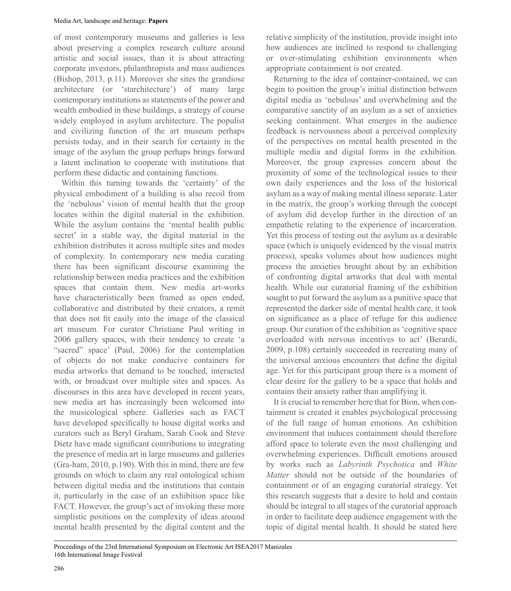of most contemporary museums and galleries is less about preserving a complex research culture around artistic and social issues, than it is about attracting corporate investors, philanthropists and mass audiences (Bishop, 2013, p.11. Moreover she sites the grandiose architecture (or 'starchitecture') of many large contemporary institutions as statements of the power and wealth embodied in these buildings, a strategy of course widely employed in asylum architecture. The populist and civilizing function of the art museum perhaps persists today, and in their search for certainty in the image of the asylum the group perhaps brings forward a latent inclination to cooperate with institutions that perform these didactic and containing functions.

Within this turning towards the 'certainty' of the physical embodiment of a building is also recoil from the 'nebulous' vision of mental health that the group locates within the digital material in the exhibition. While the asylum contains the 'mental health public secret' in a stable way, the digital material in the exhibition distributes it across multiple sites and modes of complexity. In contemporary new media curating there has been signifcant discourse examining the relationship between media practices and the exhibition spaces that contain them. New media art-works have characteristically been framed as open ended, collaborative and distributed by their creators, a remit that does not ft easily into the image of the classical art museum. For curator Christiane Paul writing in 2006 gallery spaces, with their tendency to create 'a "sacred" space' (Paul, 2006) for the contemplation of objects do not make conducive containers for media artworks that demand to be touched, interacted with, or broadcast over multiple sites and spaces. As discourses in this area have developed in recent years, new media art has increasingly been welcomed into the musicological sphere. Galleries such as FACT have developed specifcally to house digital works and curators such as Beryl Graham, Sarah Cook and Steve Dietz have made signifcant contributions to integrating the presence of media art in large museums and galleries (Gra-ham, 2010, p.190. With this in mind, there are few grounds on which to claim any real ontological schism between digital media and the institutions that contain it, particularly in the case of an exhibition space like FACT. However, the group's act of invoking these more simplistic positions on the complexity of ideas around mental health presented by the digital content and the

relative simplicity of the institution, provide insight into how audiences are inclined to respond to challenging or over-stimulating exhibition environments when appropriate containment is not created.

Returning to the idea of container-contained, we can begin to position the group's initial distinction between digital media as 'nebulous' and overwhelming and the comparative sanctity of an asylum as a set of anxieties seeking containment. What emerges in the audience feedback is nervousness about a perceived complexity of the perspectives on mental health presented in the multiple media and digital forms in the exhibition. Moreover, the group expresses concern about the proximity of some of the technological issues to their own daily experiences and the loss of the historical asylum as a way of making mental illness separate. Later in the matrix, the group's working through the concept of asylum did develop further in the direction of an empathetic relating to the experience of incarceration. Yet this process of testing out the asylum as a desirable space (which is uniquely evidenced by the visual matrix process, speaks volumes about how audiences might process the anxieties brought about by an exhibition of confronting digital artworks that deal with mental health. While our curatorial framing of the exhibition sought to put forward the asylum as a punitive space that represented the darker side of mental health care, it took on signifcance as a place of refuge for this audience group. Our curation of the exhibition as 'cognitive space overloaded with nervous incentives to act' (Berardi, 2009, p.108 certainly succeeded in recreating many of the universal anxious encounters that defne the digital age. Yet for this participant group there is a moment of clear desire for the gallery to be a space that holds and contains their anxiety rather than amplifying it.

It is crucial to remember here that for Bion, when containment is created it enables psychological processing of the full range of human emotions. An exhibition environment that induces containment should therefore afford space to tolerate even the most challenging and overwhelming experiences. Difficult emotions aroused by works such as *Labyrinth Psychotica* and *White Matter* should not be outside of the boundaries of containment or of an engaging curatorial strategy. Yet this research suggests that a desire to hold and contain should be integral to all stages of the curatorial approach in order to facilitate deep audience engagement with the topic of digital mental health. It should be stated here

Proceedings of the 23rd International Symposium on Electronic Art ISEA2017 Manizales 16th International Image Festival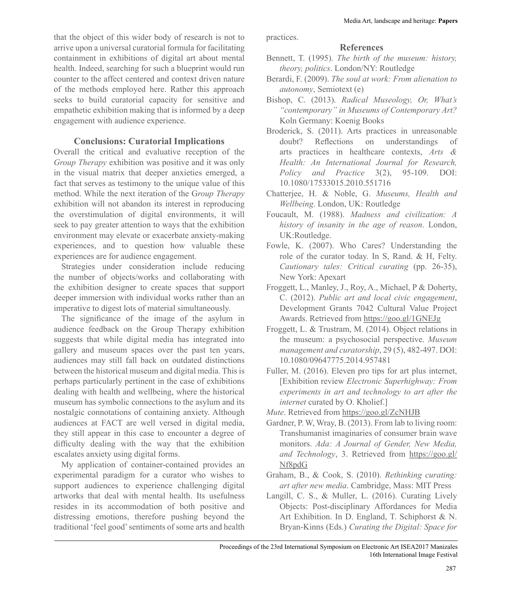that the object of this wider body of research is not to arrive upon a universal curatorial formula for facilitating containment in exhibitions of digital art about mental health. Indeed, searching for such a blueprint would run counter to the affect centered and context driven nature of the methods employed here. Rather this approach seeks to build curatorial capacity for sensitive and empathetic exhibition making that is informed by a deep engagement with audience experience.

## **Conclusions: Curatorial Implications**

Overall the critical and evaluative reception of the *Group Therapy* exhibition was positive and it was only in the visual matrix that deeper anxieties emerged, a fact that serves as testimony to the unique value of this method. While the next iteration of the G*roup Therapy* exhibition will not abandon its interest in reproducing the overstimulation of digital environments, it will seek to pay greater attention to ways that the exhibition environment may elevate or exacerbate anxiety-making experiences, and to question how valuable these experiences are for audience engagement.

Strategies under consideration include reducing the number of objects/works and collaborating with the exhibition designer to create spaces that support deeper immersion with individual works rather than an imperative to digest lots of material simultaneously.

The signifcance of the image of the asylum in audience feedback on the Group Therapy exhibition suggests that while digital media has integrated into gallery and museum spaces over the past ten years, audiences may still fall back on outdated distinctions between the historical museum and digital media. This is perhaps particularly pertinent in the case of exhibitions dealing with health and wellbeing, where the historical museum has symbolic connections to the asylum and its nostalgic connotations of containing anxiety. Although audiences at FACT are well versed in digital media, they still appear in this case to encounter a degree of diffculty dealing with the way that the exhibition escalates anxiety using digital forms.

My application of container-contained provides an experimental paradigm for a curator who wishes to support audiences to experience challenging digital artworks that deal with mental health. Its usefulness resides in its accommodation of both positive and distressing emotions, therefore pushing beyond the traditional 'feel good' sentiments of some arts and health

practices.

### **References**

- Bennett, T. (1995. *The birth of the museum: history, theory, politics.* London/NY: Routledge
- Berardi, F. (2009. *The soul at work: From alienation to autonomy*, Semiotext (e
- Bishop, C. (2013. *Radical Museology, Or, What's "contemporary" in Museums of Contemporary Art?*  Koln Germany: Koenig Books
- Broderick, S. (2011). Arts practices in unreasonable doubt? Refections on understandings of arts practices in healthcare contexts, *Arts & Health: An International Journal for Research, Policy and Practice* 3(2, 95-109. DOI: 10.108017533015.2010.551716
- Chatteriee, H. & Noble, G. *Museums, Health and Wellbeing*. London, UK: Routledge
- Foucault, M. (1988. *Madness and civilization: A history of insanity in the age of reason*. London, UK:Routledge.
- Fowle, K. (2007). Who Cares? Understanding the role of the curator today. In S, Rand,  $&$  H, Felty. Cautionary tales: Critical curating (pp. 26-35), New York: Apexart
- Froggett, L., Manley, J., Roy, A., Michael, P & Doherty, C. (2012. *Public art and local civic engagement*, Development Grants 7042 Cultural Value Project Awards. Retrieved from https://goo.gl/1GNEJg
- Froggett, L. & Trustram, M. (2014). Object relations in the museum: a psychosocial perspective. *Museum management and curatorship*, 29 (5, 482-497. DOI: 10.108009647775.2014.957481
- Fuller, M. (2016). Eleven pro tips for art plus internet, >Exhibition review *Electronic Superhighway: From experiments in art and technology to art after the internet* curated by O. Kholief.]
- *Mute*. Retrieved from https://goo.gl/ZcNHJB
- Gardner, P. W, Wray, B. (2013. From lab to living room: Transhumanist imaginaries of consumer brain wave monitors. *Ada: A Journal of Gender, New Media, and Technology*, 3. Retrieved from https://goo.gl/ Nf8pdG
- Graham, B., & Cook, S. (2010). *Rethinking curating: art after new media*. Cambridge, Mass: MIT Press
- Langill, C. S.,  $\&$  Muller, L. (2016). Curating Lively Objects: Post-disciplinary Affordances for Media Art Exhibition. In D. England, T. Schiphorst  $& N$ . Bryan-Kinns (Eds.) *Curating the Digital: Space for*